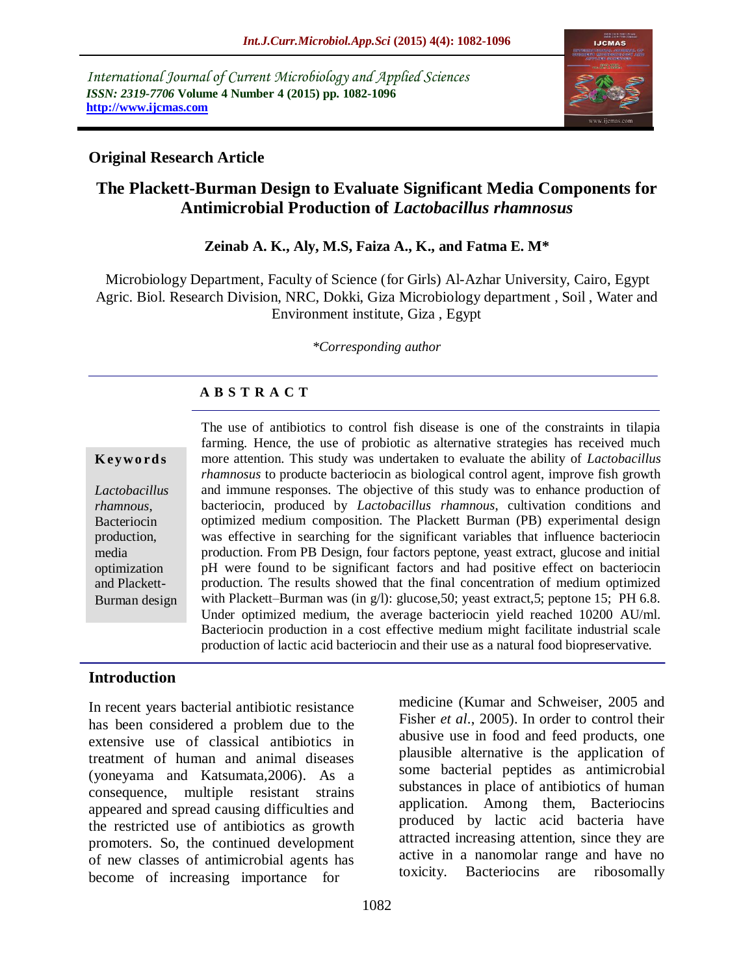*International Journal of Current Microbiology and Applied Sciences ISSN: 2319-7706* **Volume 4 Number 4 (2015) pp. 1082-1096 http://www.ijcmas.com** 



## **Original Research Article**

# **The Plackett-Burman Design to Evaluate Significant Media Components for Antimicrobial Production of** *Lactobacillus rhamnosus*

## **Zeinab A. K., Aly, M.S, Faiza A., K., and Fatma E. M\***

Microbiology Department, Faculty of Science (for Girls) Al-Azhar University, Cairo, Egypt Agric. Biol. Research Division, NRC, Dokki, Giza Microbiology department , Soil , Water and Environment institute, Giza , Egypt

### *\*Corresponding author*

## **A B S T R A C T**

### **K ey w o rd s**

*Lactobacillus rhamnous*, Bacteriocin production, media optimization and Plackett-Burman design The use of antibiotics to control fish disease is one of the constraints in tilapia farming. Hence, the use of probiotic as alternative strategies has received much more attention. This study was undertaken to evaluate the ability of *Lactobacillus rhamnosus* to producte bacteriocin as biological control agent, improve fish growth and immune responses. The objective of this study was to enhance production of bacteriocin, produced by *Lactobacillus rhamnous*, cultivation conditions and optimized medium composition. The Plackett Burman (PB) experimental design was effective in searching for the significant variables that influence bacteriocin production. From PB Design, four factors peptone, yeast extract, glucose and initial pH were found to be significant factors and had positive effect on bacteriocin production. The results showed that the final concentration of medium optimized with Plackett–Burman was (in g/l): glucose, 50; yeast extract, 5; peptone 15; PH 6.8. Under optimized medium, the average bacteriocin yield reached 10200 AU/ml. Bacteriocin production in a cost effective medium might facilitate industrial scale production of lactic acid bacteriocin and their use as a natural food biopreservative.

# **Introduction**

In recent years bacterial antibiotic resistance has been considered a problem due to the extensive use of classical antibiotics in treatment of human and animal diseases (yoneyama and Katsumata,2006). As a consequence, multiple resistant strains appeared and spread causing difficulties and the restricted use of antibiotics as growth promoters. So, the continued development of new classes of antimicrobial agents has become of increasing importance for

medicine (Kumar and Schweiser, 2005 and Fisher *et al*., 2005). In order to control their abusive use in food and feed products, one plausible alternative is the application of some bacterial peptides as antimicrobial substances in place of antibiotics of human application. Among them, Bacteriocins produced by lactic acid bacteria have attracted increasing attention, since they are active in a nanomolar range and have no toxicity. Bacteriocins are ribosomally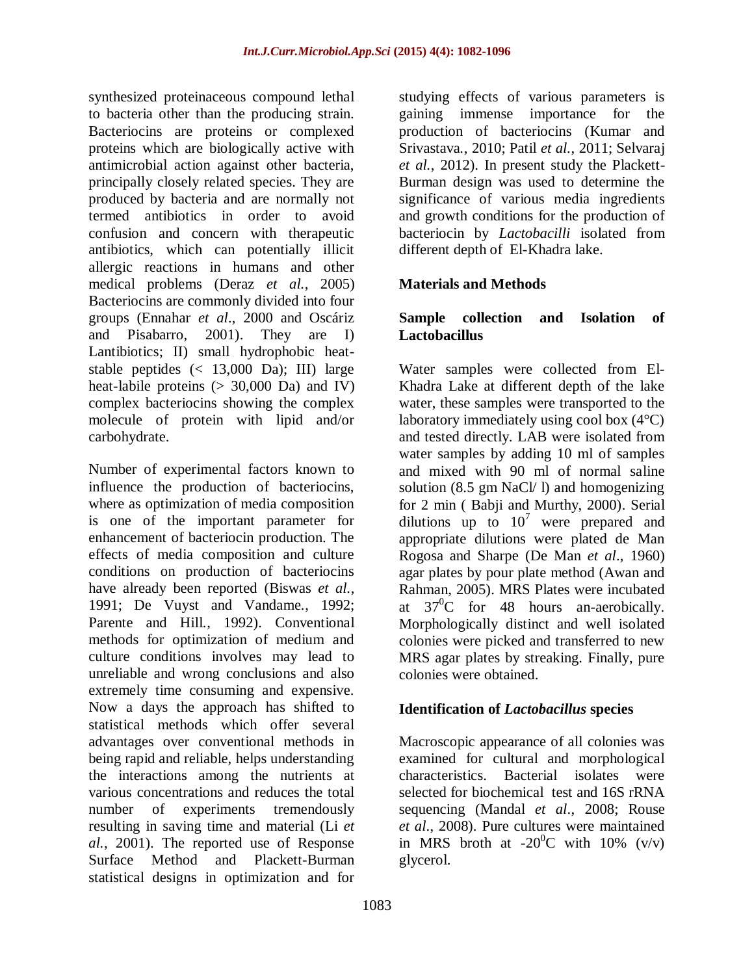synthesized proteinaceous compound lethal to bacteria other than the producing strain. Bacteriocins are proteins or complexed proteins which are biologically active with antimicrobial action against other bacteria, principally closely related species. They are produced by bacteria and are normally not termed antibiotics in order to avoid confusion and concern with therapeutic antibiotics, which can potentially illicit allergic reactions in humans and other medical problems (Deraz *et al.*, 2005) Bacteriocins are commonly divided into four groups (Ennahar *et al*., 2000 and Oscáriz and Pisabarro, 2001). They are I) Lantibiotics; II) small hydrophobic heatstable peptides  $\left($  < 13,000 Da); III) large heat-labile proteins (> 30,000 Da) and IV) complex bacteriocins showing the complex molecule of protein with lipid and/or carbohydrate.

Number of experimental factors known to influence the production of bacteriocins, where as optimization of media composition is one of the important parameter for enhancement of bacteriocin production. The effects of media composition and culture conditions on production of bacteriocins have already been reported (Biswas *et al.*, 1991; De Vuyst and Vandame*.*, 1992; Parente and Hill*.*, 1992). Conventional methods for optimization of medium and culture conditions involves may lead to unreliable and wrong conclusions and also extremely time consuming and expensive. Now a days the approach has shifted to statistical methods which offer several advantages over conventional methods in being rapid and reliable, helps understanding the interactions among the nutrients at various concentrations and reduces the total number of experiments tremendously resulting in saving time and material (Li *et al.*, 2001). The reported use of Response Surface Method and Plackett-Burman statistical designs in optimization and for

studying effects of various parameters is gaining immense importance for the production of bacteriocins (Kumar and Srivastava*.*, 2010; Patil *et al.*, 2011; Selvaraj *et al.*, 2012). In present study the Plackett-Burman design was used to determine the significance of various media ingredients and growth conditions for the production of bacteriocin by *Lactobacilli* isolated from different depth of El-Khadra lake.

## **Materials and Methods**

## **Sample collection and Isolation of Lactobacillus**

Water samples were collected from El-Khadra Lake at different depth of the lake water, these samples were transported to the laboratory immediately using cool box (4°C) and tested directly. LAB were isolated from water samples by adding 10 ml of samples and mixed with 90 ml of normal saline solution (8.5 gm NaCl/ l) and homogenizing for 2 min ( Babji and Murthy, 2000). Serial dilutions up to  $10^7$  were prepared and appropriate dilutions were plated de Man Rogosa and Sharpe (De Man *et al*., 1960) agar plates by pour plate method (Awan and Rahman, 2005). MRS Plates were incubated at  $37^0C$  for 48 hours an-aerobically. Morphologically distinct and well isolated colonies were picked and transferred to new MRS agar plates by streaking. Finally, pure colonies were obtained.

## **Identification of** *Lactobacillus* **species**

Macroscopic appearance of all colonies was examined for cultural and morphological characteristics. Bacterial isolates were selected for biochemical test and 16S rRNA sequencing (Mandal *et al*., 2008; Rouse *et al*., 2008). Pure cultures were maintained in MRS broth at  $-20^{\circ}$ C with 10% (v/v) glycerol.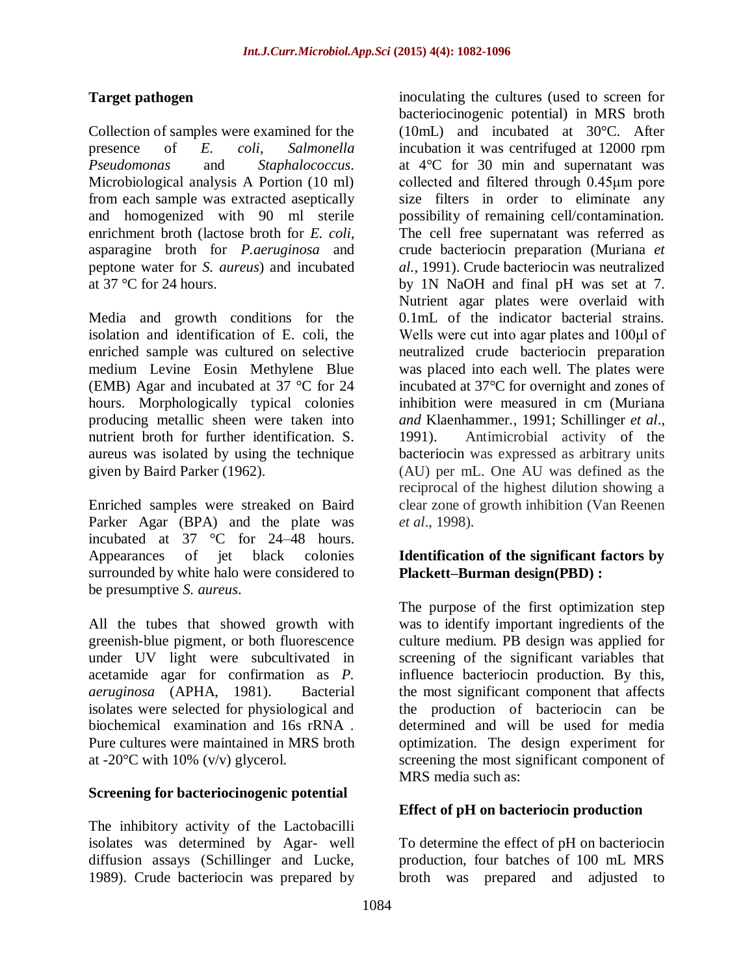# **Target pathogen**

Collection of samples were examined for the presence of *E. coli*, *Salmonella Pseudomonas* and *Staphalococcus*. Microbiological analysis A Portion (10 ml) from each sample was extracted aseptically and homogenized with 90 ml sterile enrichment broth (lactose broth for *E. coli*, asparagine broth for *P.aeruginosa* and peptone water for *S. aureus*) and incubated at 37 °C for 24 hours.

Media and growth conditions for the isolation and identification of E. coli, the enriched sample was cultured on selective medium Levine Eosin Methylene Blue (EMB) Agar and incubated at 37 °C for 24 hours. Morphologically typical colonies producing metallic sheen were taken into nutrient broth for further identification. S. aureus was isolated by using the technique given by Baird Parker (1962).

Enriched samples were streaked on Baird Parker Agar (BPA) and the plate was incubated at 37 °C for 24–48 hours. Appearances of jet black colonies surrounded by white halo were considered to be presumptive *S. aureus*.

All the tubes that showed growth with greenish-blue pigment, or both fluorescence under UV light were subcultivated in acetamide agar for confirmation as *P. aeruginosa* (APHA, 1981). Bacterial isolates were selected for physiological and biochemical examination and 16s rRNA . Pure cultures were maintained in MRS broth at -20 $\rm{^{\circ}C}$  with 10% (v/v) glycerol.

## **Screening for bacteriocinogenic potential**

The inhibitory activity of the Lactobacilli isolates was determined by Agar- well diffusion assays (Schillinger and Lucke, 1989). Crude bacteriocin was prepared by

inoculating the cultures (used to screen for bacteriocinogenic potential) in MRS broth (10mL) and incubated at 30°C. After incubation it was centrifuged at 12000 rpm at 4°C for 30 min and supernatant was collected and filtered through 0.45μm pore size filters in order to eliminate any possibility of remaining cell/contamination. The cell free supernatant was referred as crude bacteriocin preparation (Muriana *et al.*, 1991). Crude bacteriocin was neutralized by 1N NaOH and final pH was set at 7. Nutrient agar plates were overlaid with 0.1mL of the indicator bacterial strains. Wells were cut into agar plates and 100μl of neutralized crude bacteriocin preparation was placed into each well. The plates were incubated at 37°C for overnight and zones of inhibition were measured in cm (Muriana *and* Klaenhammer*.*, 1991; Schillinger *et al*., 1991). Antimicrobial activity of the bacteriocin was expressed as arbitrary units (AU) per mL. One AU was defined as the reciprocal of the highest dilution showing a clear zone of growth inhibition (Van Reenen *et al*., 1998).

## **Identification of the significant factors by Plackett–Burman design(PBD) :**

The purpose of the first optimization step was to identify important ingredients of the culture medium. PB design was applied for screening of the significant variables that influence bacteriocin production. By this, the most significant component that affects the production of bacteriocin can be determined and will be used for media optimization. The design experiment for screening the most significant component of MRS media such as:

# **Effect of pH on bacteriocin production**

To determine the effect of pH on bacteriocin production, four batches of 100 mL MRS broth was prepared and adjusted to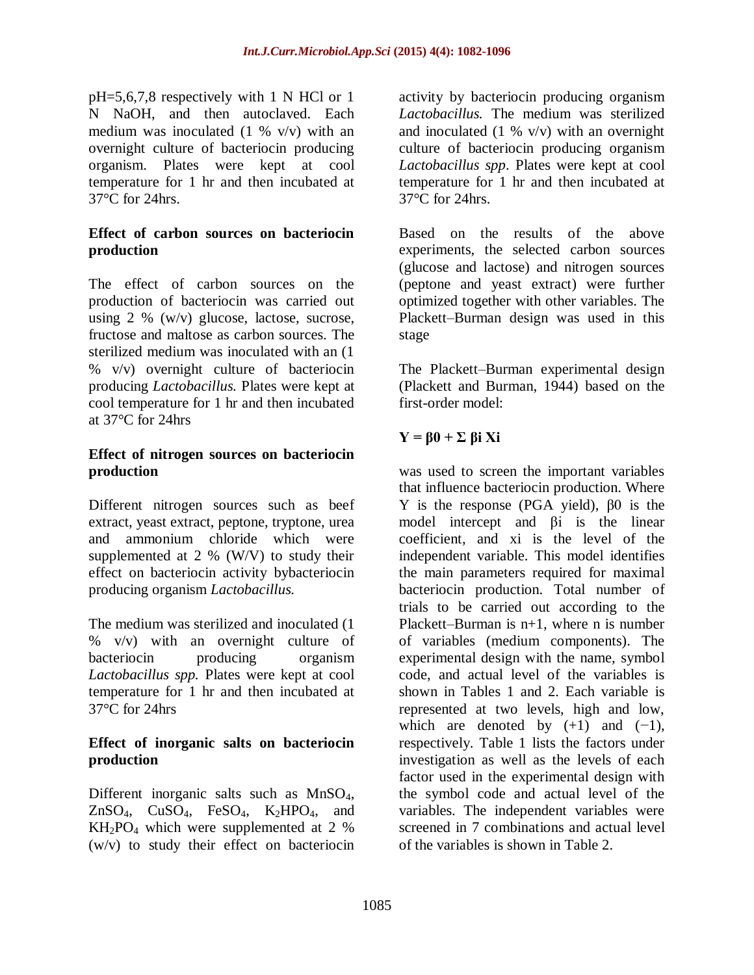pH=5,6,7,8 respectively with 1 N HCl or 1 N NaOH, and then autoclaved. Each medium was inoculated  $(1 \% \t v/v)$  with an overnight culture of bacteriocin producing organism. Plates were kept at cool temperature for 1 hr and then incubated at 37°C for 24hrs.

## **Effect of carbon sources on bacteriocin production**

The effect of carbon sources on the production of bacteriocin was carried out using 2 % (w/v) glucose, lactose, sucrose, fructose and maltose as carbon sources. The sterilized medium was inoculated with an (1 % v/v) overnight culture of bacteriocin producing *Lactobacillus.* Plates were kept at cool temperature for 1 hr and then incubated at 37°C for 24hrs

## **Effect of nitrogen sources on bacteriocin production**

Different nitrogen sources such as beef extract, yeast extract, peptone, tryptone, urea and ammonium chloride which were supplemented at 2 % (W/V) to study their effect on bacteriocin activity bybacteriocin producing organism *Lactobacillus.* 

The medium was sterilized and inoculated (1 % v/v) with an overnight culture of bacteriocin producing organism *Lactobacillus spp.* Plates were kept at cool temperature for 1 hr and then incubated at 37°C for 24hrs

## **Effect of inorganic salts on bacteriocin production**

Different inorganic salts such as MnSO4,  $ZnSO<sub>4</sub>$ ,  $CuSO<sub>4</sub>$ ,  $FeSO<sub>4</sub>$ ,  $K<sub>2</sub>HPO<sub>4</sub>$ , and  $KH_2PO_4$  which were supplemented at 2 % (w/v) to study their effect on bacteriocin activity by bacteriocin producing organism *Lactobacillus.* The medium was sterilized and inoculated  $(1 \% \t v/v)$  with an overnight culture of bacteriocin producing organism *Lactobacillus spp*. Plates were kept at cool temperature for 1 hr and then incubated at 37°C for 24hrs.

Based on the results of the above experiments, the selected carbon sources (glucose and lactose) and nitrogen sources (peptone and yeast extract) were further optimized together with other variables. The Plackett–Burman design was used in this stage

The Plackett–Burman experimental design (Plackett and Burman, 1944) based on the first-order model:

# **Y = β0 + Σ βi Xi**

was used to screen the important variables that influence bacteriocin production. Where Y is the response (PGA yield), β0 is the model intercept and βi is the linear coefficient, and xi is the level of the independent variable. This model identifies the main parameters required for maximal bacteriocin production. Total number of trials to be carried out according to the Plackett–Burman is  $n+1$ , where n is number of variables (medium components). The experimental design with the name, symbol code, and actual level of the variables is shown in Tables 1 and 2. Each variable is represented at two levels, high and low, which are denoted by  $(+1)$  and  $(-1)$ , respectively. Table 1 lists the factors under investigation as well as the levels of each factor used in the experimental design with the symbol code and actual level of the variables. The independent variables were screened in 7 combinations and actual level of the variables is shown in Table 2.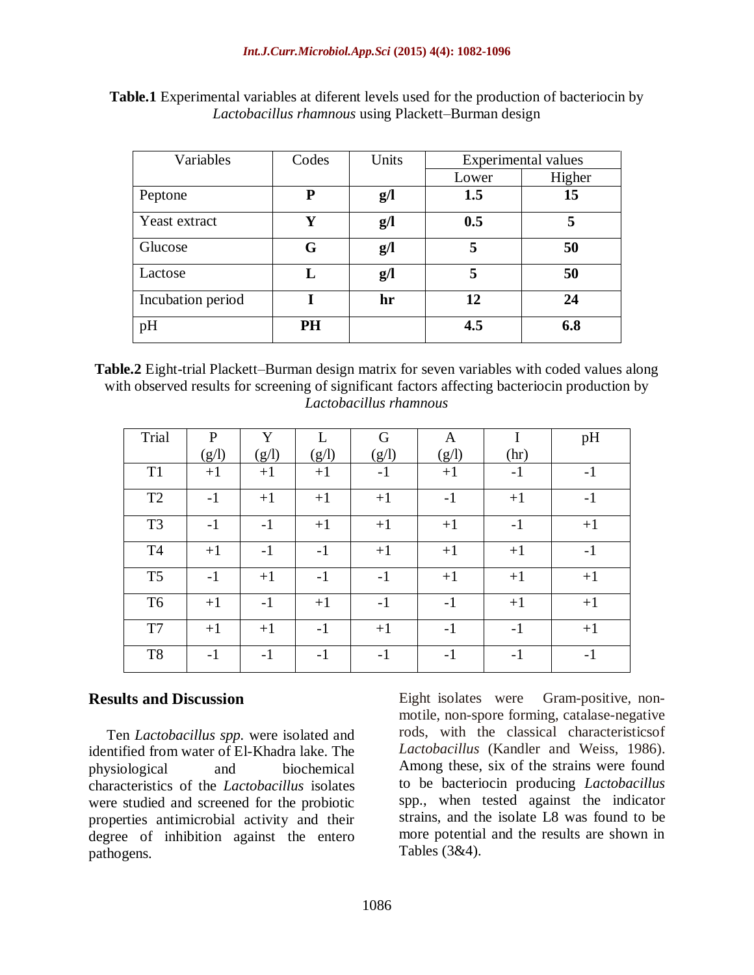**Table.1** Experimental variables at diferent levels used for the production of bacteriocin by *Lactobacillus rhamnous* using Plackett–Burman design

| Variables         | Codes     | Units          |       | <b>Experimental values</b> |
|-------------------|-----------|----------------|-------|----------------------------|
|                   |           |                | Lower | Higher                     |
| Peptone           | P         | $g/\mathbf{l}$ | 1.5   | 15                         |
| Yeast extract     | Y         | g/             | 0.5   | 5                          |
| Glucose           | G         | g/             | 5     | 50                         |
| Lactose           | L         | g/             | 5     | 50                         |
| Incubation period |           | hr             | 12    | 24                         |
| pH                | <b>PH</b> |                | 4.5   | 6.8                        |

**Table.2** Eight-trial Plackett–Burman design matrix for seven variables with coded values along with observed results for screening of significant factors affecting bacteriocin production by *Lactobacillus rhamnous*

| <b>Trial</b>   | $\mathbf{P}$ | Y     | L     | G     | $\mathbf{A}$ | I    | pH   |
|----------------|--------------|-------|-------|-------|--------------|------|------|
|                | (g/l)        | (g/l) | (g/l) | (g/l) | (g/l)        | (hr) |      |
| T <sub>1</sub> | $+1$         | $+1$  | $+1$  | $-1$  | $+1$         | $-1$ | $-1$ |
| T <sub>2</sub> | $-1$         | $+1$  | $+1$  | $+1$  | $-1$         | $+1$ | $-1$ |
| T <sub>3</sub> | $-1$         | $-1$  | $+1$  | $+1$  | $+1$         | $-1$ | $+1$ |
| T <sub>4</sub> | $+1$         | $-1$  | $-1$  | $+1$  | $+1$         | $+1$ | $-1$ |
| T <sub>5</sub> | $-1$         | $+1$  | $-1$  | $-1$  | $+1$         | $+1$ | $+1$ |
| T <sub>6</sub> | $+1$         | $-1$  | $+1$  | $-1$  | $-1$         | $+1$ | $+1$ |
| T7             | $+1$         | $+1$  | $-1$  | $+1$  | $-1$         | $-1$ | $+1$ |
| T <sub>8</sub> | $-1$         | $-1$  | $-1$  | $-1$  | $-1$         | $-1$ | $-1$ |

# **Results and Discussion**

 Ten *Lactobacillus spp.* were isolated and identified from water of El-Khadra lake. The physiological and biochemical characteristics of the *Lactobacillus* isolates were studied and screened for the probiotic properties antimicrobial activity and their degree of inhibition against the entero pathogens.

Eight isolates were Gram-positive, nonmotile, non-spore forming, catalase-negative rods, with the classical characteristicsof *Lactobacillus* (Kandler and Weiss, 1986). Among these, six of the strains were found to be bacteriocin producing *Lactobacillus*  spp., when tested against the indicator strains, and the isolate L8 was found to be more potential and the results are shown in Tables (3&4).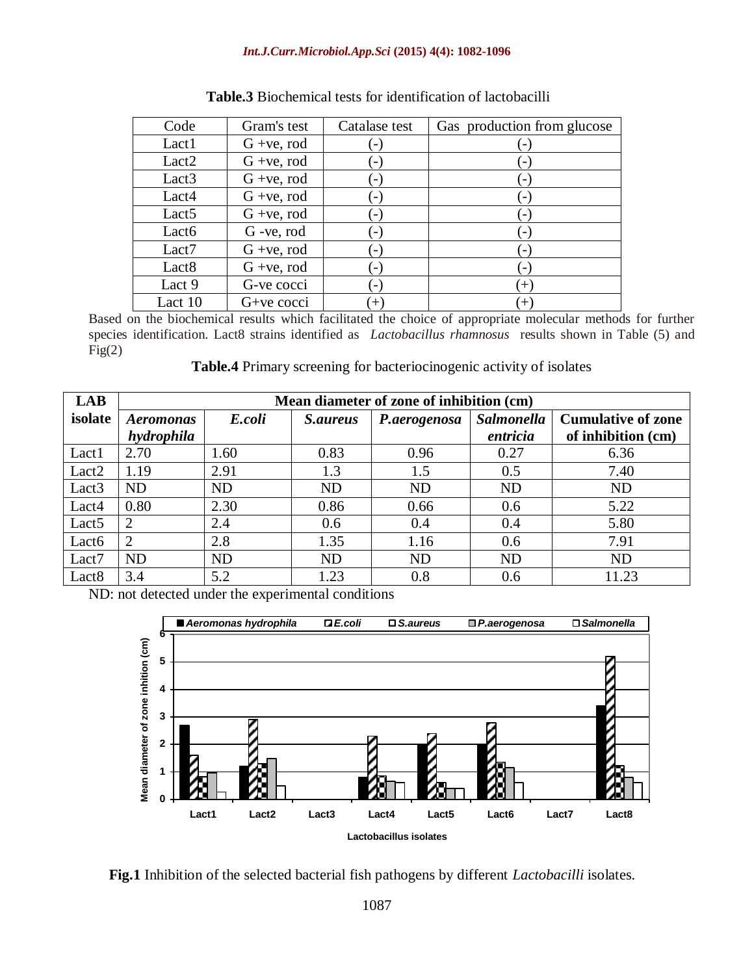| Code              | Gram's test   | Catalase test | Gas production from glucose |
|-------------------|---------------|---------------|-----------------------------|
| Lact1             | $G +ve$ , rod |               |                             |
| Lact <sub>2</sub> | $G +ve$ , rod |               | $\overline{\phantom{a}}$    |
| Lact <sub>3</sub> | $G +ve$ , rod |               | $\blacksquare$              |
| Lact4             | $G +ve$ , rod |               | $\overline{a}$              |
| Lact <sub>5</sub> | $G +ve$ , rod |               | $\blacksquare$              |
| Lact <sub>6</sub> | G -ve, rod    |               | $\blacksquare$              |
| Lact7             | $G +ve$ , rod |               | $\overline{\phantom{a}}$    |
| Lact <sub>8</sub> | $G +ve$ , rod |               |                             |
| Lact 9            | G-ve cocci    | -             | $(+)$                       |
| Lact 10           | G+ve cocci    | $^{+}$        | $\left  + \right\rangle$    |

## **Table.3** Biochemical tests for identification of lactobacilli

Based on the biochemical results which facilitated the choice of appropriate molecular methods for further species identification. Lact8 strains identified as *Lactobacillus rhamnosus* results shown in Table (5) and  $Fig(2)$ 

**Table.4** Primary screening for bacteriocinogenic activity of isolates

| <b>LAB</b>        | Mean diameter of zone of inhibition (cm) |           |                 |              |                   |                           |  |  |  |  |  |
|-------------------|------------------------------------------|-----------|-----------------|--------------|-------------------|---------------------------|--|--|--|--|--|
| isolate           | <i>Aeromonas</i>                         | E.coli    | <i>S.aureus</i> | P.aerogenosa | <b>Salmonella</b> | <b>Cumulative of zone</b> |  |  |  |  |  |
|                   | hydrophila                               |           |                 |              | entricia          | of inhibition (cm)        |  |  |  |  |  |
| Lact1             | 2.70                                     | 1.60      | 0.83            | 0.96         | 0.27              | 6.36                      |  |  |  |  |  |
| Lact <sub>2</sub> | 1.19                                     | 2.91      | 1.3             | 1.5          | 0.5               | 7.40                      |  |  |  |  |  |
| Lact <sub>3</sub> | <b>ND</b>                                | <b>ND</b> | <b>ND</b>       | <b>ND</b>    | <b>ND</b>         | <b>ND</b>                 |  |  |  |  |  |
| Lact4             | 0.80                                     | 2.30      | 0.86            | 0.66         | 0.6               | 5.22                      |  |  |  |  |  |
| Lact <sub>5</sub> | 2                                        | 2.4       | 0.6             | 0.4          | 0.4               | 5.80                      |  |  |  |  |  |
| Lact <sub>6</sub> |                                          | 2.8       | 1.35            | 1.16         | 0.6               | 7.91                      |  |  |  |  |  |
| Lact7             | <b>ND</b>                                | <b>ND</b> | N <sub>D</sub>  | <b>ND</b>    | <b>ND</b>         | <b>ND</b>                 |  |  |  |  |  |
| Lact <sub>8</sub> | 3.4                                      | 5.2       | 1.23            | 0.8          | 0.6               | 11.23                     |  |  |  |  |  |

ND: not detected under the experimental conditions



**Fig.1** Inhibition of the selected bacterial fish pathogens by different *Lactobacilli* isolates.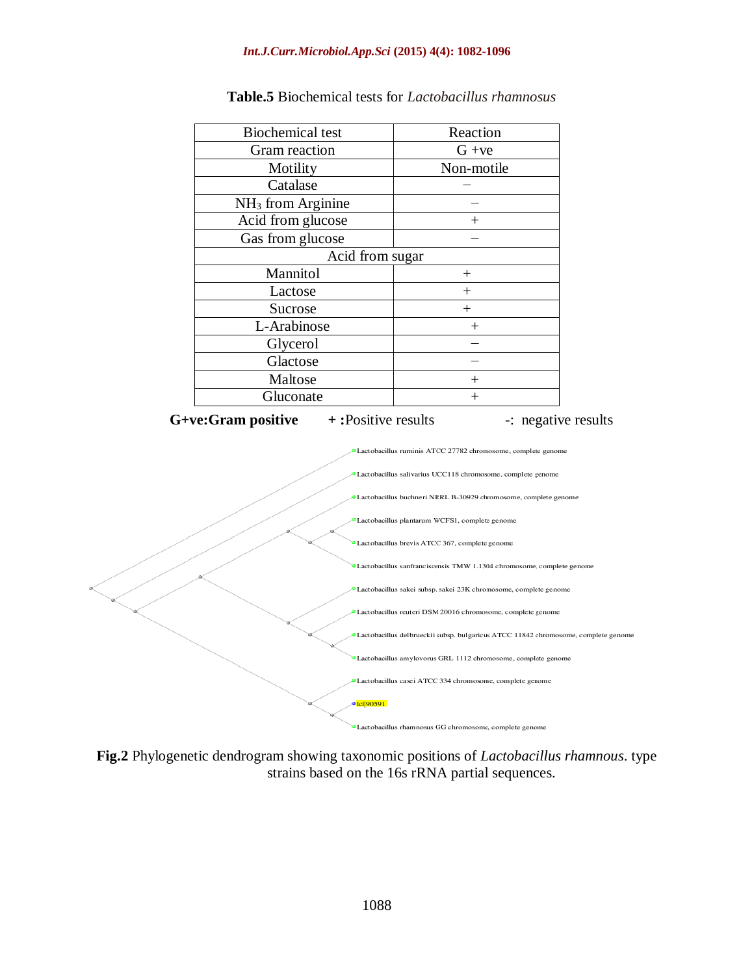| <b>Biochemical test</b> | Reaction   |
|-------------------------|------------|
| Gram reaction           | $G + ve$   |
| Motility                | Non-motile |
| Catalase                |            |
| $NH3$ from Arginine     |            |
| Acid from glucose       | $^{+}$     |
| Gas from glucose        |            |
| Acid from sugar         |            |
| Mannitol                | $^+$       |
| Lactose                 | $^{+}$     |
| Sucrose                 |            |
| L-Arabinose             |            |
| Glycerol                |            |
| Glactose                |            |
| Maltose                 |            |
| Gluconate               |            |

### **Table.5** Biochemical tests for *Lactobacillus rhamnosus*





**Fig.2** Phylogenetic dendrogram showing taxonomic positions of *Lactobacillus rhamnous*. type strains based on the 16s rRNA partial sequences.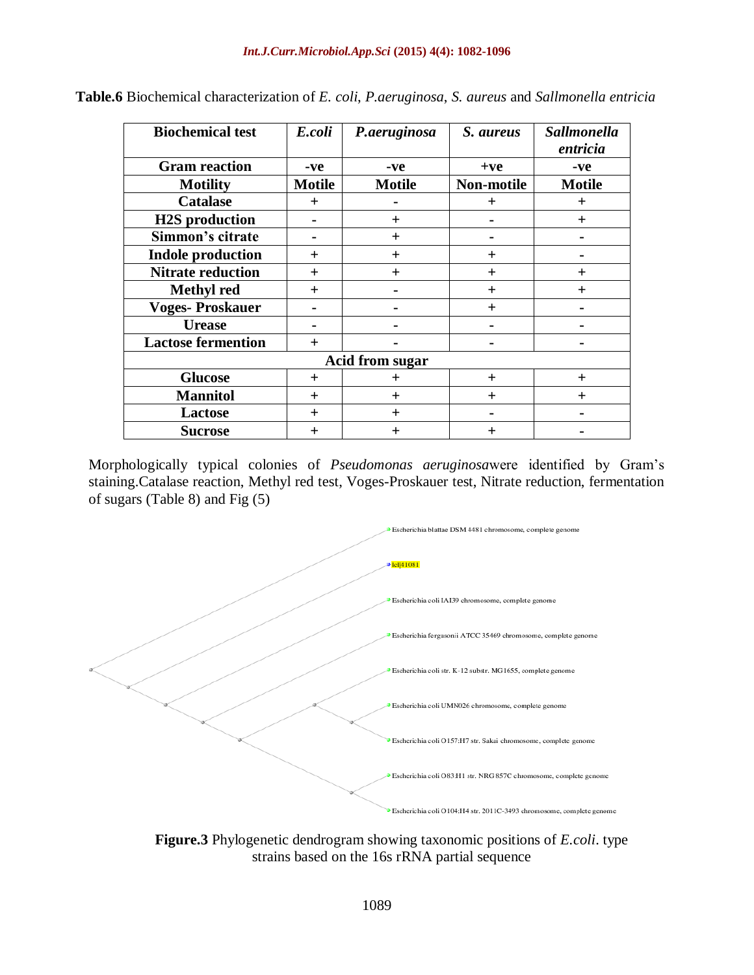| <b>Biochemical test</b>   | E.coli        | P.aeruginosa           | S. aureus  | Sallmonella<br>entricia |
|---------------------------|---------------|------------------------|------------|-------------------------|
| <b>Gram reaction</b>      | -ve           | -ve                    | $+ve$      | -ve                     |
| <b>Motility</b>           | <b>Motile</b> | <b>Motile</b>          | Non-motile | <b>Motile</b>           |
| <b>Catalase</b>           | $+$           |                        | $\ddot{}$  | $\pm$                   |
| <b>H2S</b> production     |               | $\ddot{}$              |            | $+$                     |
| Simmon's citrate          |               | $\mathrm{+}$           |            |                         |
| <b>Indole production</b>  | $\pm$         | $\mathrm{+}$           | $^{+}$     |                         |
| <b>Nitrate reduction</b>  | $\ddot{}$     | $\mathrm{+}$           | $\pm$      | $\ddot{}$               |
| <b>Methyl</b> red         | $\ddot{}$     |                        | $+$        | $\overline{+}$          |
| <b>Voges-Proskauer</b>    |               |                        | $+$        |                         |
| <b>Urease</b>             |               |                        |            |                         |
| <b>Lactose fermention</b> | $+$           |                        |            |                         |
|                           |               | <b>Acid from sugar</b> |            |                         |
| <b>Glucose</b>            | $^{+}$        | ┿                      | $^{+}$     | $^{+}$                  |
| <b>Mannitol</b>           | $\ddot{}$     | $\ddot{}$              | $\pm$      | $^{+}$                  |
| <b>Lactose</b>            | $+$           | $\ddot{}$              |            |                         |
| <b>Sucrose</b>            | $\pm$         | $\pm$                  | $\pm$      |                         |

**Table.6** Biochemical characterization of *E. coli*, *P.aeruginosa*, *S. aureus* and *Sallmonella entricia*

Morphologically typical colonies of *Pseudomonas aeruginosa*were identified by Gram's staining.Catalase reaction, Methyl red test, Voges-Proskauer test, Nitrate reduction, fermentation of sugars (Table 8) and Fig (5)



**Figure.3** Phylogenetic dendrogram showing taxonomic positions of *E.coli*. type strains based on the 16s rRNA partial sequence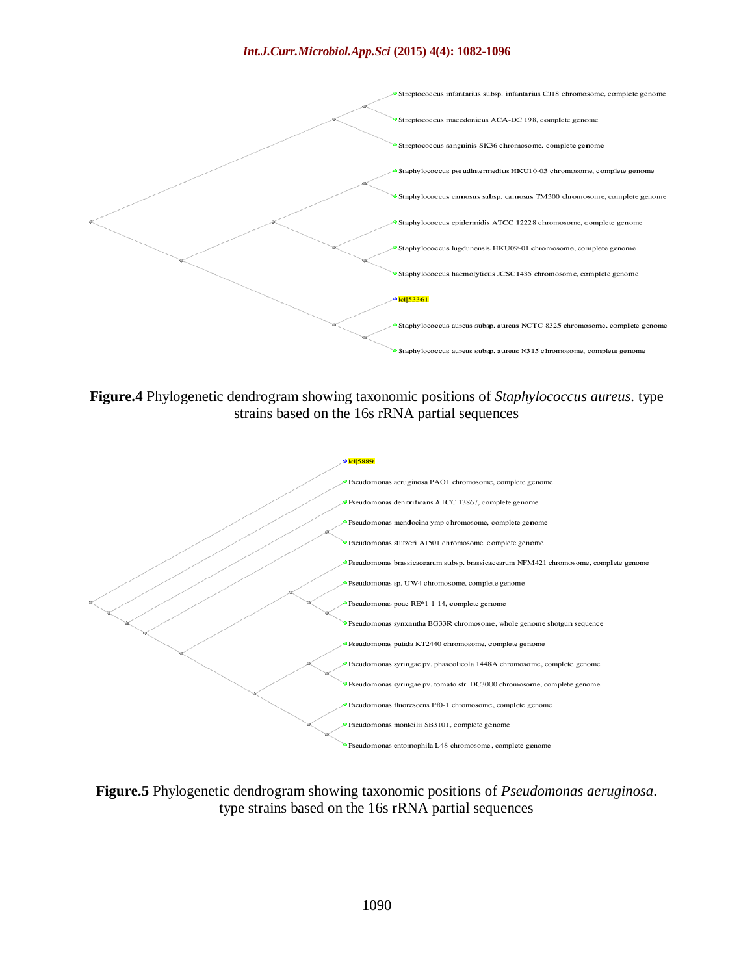

**Figure.4** Phylogenetic dendrogram showing taxonomic positions of *Staphylococcus aureus*. type strains based on the 16s rRNA partial sequences



**Figure.5** Phylogenetic dendrogram showing taxonomic positions of *Pseudomonas aeruginosa*. type strains based on the 16s rRNA partial sequences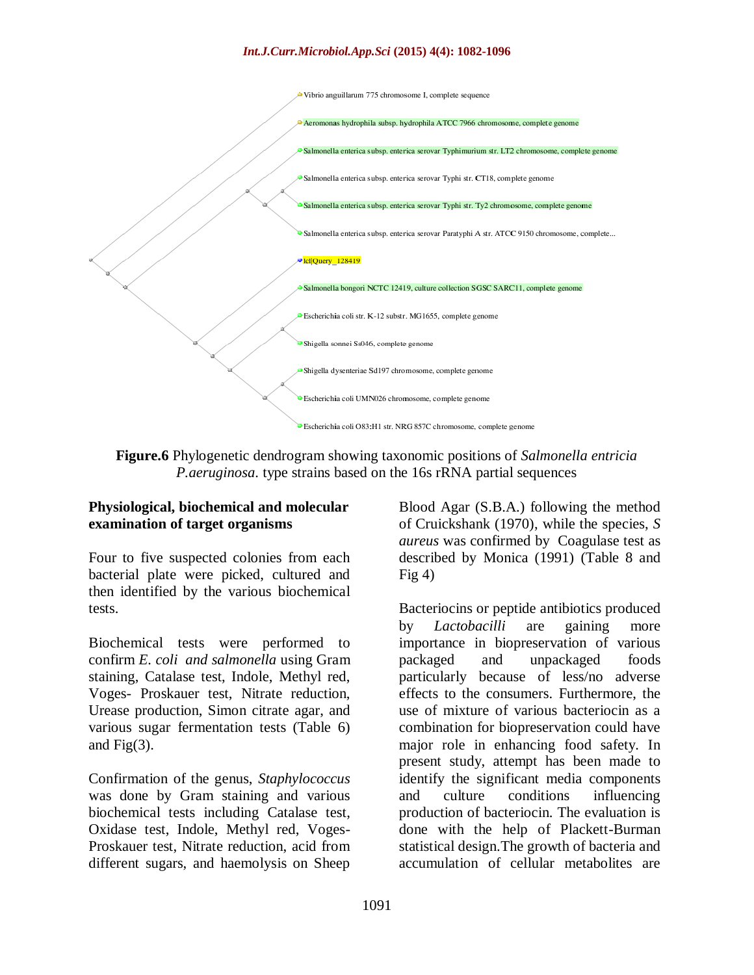Vibrio anguillarum 775 chromosome I, complete sequence



**Figure.6** Phylogenetic dendrogram showing taxonomic positions of *Salmonella entricia P.aeruginosa*. type strains based on the 16s rRNA partial sequences

## **Physiological, biochemical and molecular examination of target organisms**

Four to five suspected colonies from each bacterial plate were picked, cultured and then identified by the various biochemical tests.

Biochemical tests were performed to confirm *E. coli and salmonella* using Gram staining, Catalase test, Indole, Methyl red, Voges- Proskauer test, Nitrate reduction, Urease production, Simon citrate agar, and various sugar fermentation tests (Table 6) and Fig(3).

Confirmation of the genus, *Staphylococcus*  was done by Gram staining and various biochemical tests including Catalase test, Oxidase test, Indole, Methyl red, Voges-Proskauer test, Nitrate reduction, acid from different sugars, and haemolysis on Sheep Blood Agar (S.B.A.) following the method of Cruickshank (1970), while the species, *S aureus* was confirmed by Coagulase test as described by Monica (1991) (Table 8 and Fig  $4$ )

Bacteriocins or peptide antibiotics produced by *Lactobacilli* are gaining more importance in biopreservation of various packaged and unpackaged foods particularly because of less/no adverse effects to the consumers. Furthermore, the use of mixture of various bacteriocin as a combination for biopreservation could have major role in enhancing food safety. In present study, attempt has been made to identify the significant media components and culture conditions influencing production of bacteriocin. The evaluation is done with the help of Plackett-Burman statistical design.The growth of bacteria and accumulation of cellular metabolites are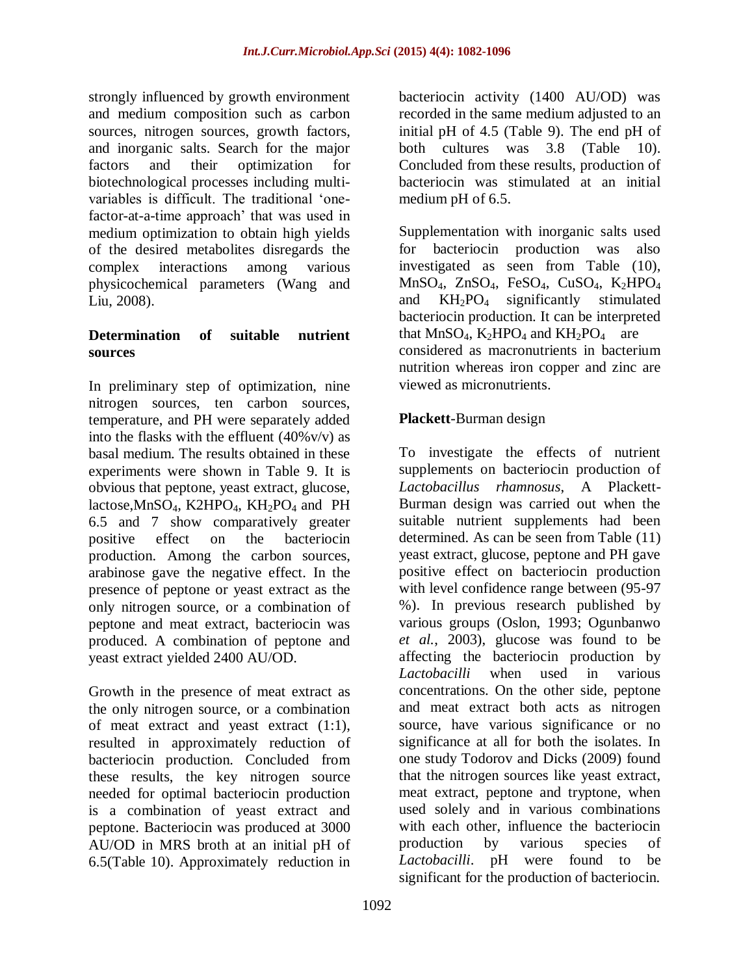strongly influenced by growth environment and medium composition such as carbon sources, nitrogen sources, growth factors, and inorganic salts. Search for the major factors and their optimization for biotechnological processes including multivariables is difficult. The traditional 'onefactor-at-a-time approach' that was used in medium optimization to obtain high yields of the desired metabolites disregards the complex interactions among various physicochemical parameters (Wang and Liu, 2008).

## **Determination of suitable nutrient sources**

In preliminary step of optimization, nine nitrogen sources, ten carbon sources, temperature, and PH were separately added into the flasks with the effluent  $(40\% \text{v/v})$  as basal medium. The results obtained in these experiments were shown in Table 9. It is obvious that peptone, yeast extract, glucose, lactose, MnSO<sub>4</sub>, K2HPO<sub>4</sub>, KH<sub>2</sub>PO<sub>4</sub> and PH 6.5 and 7 show comparatively greater positive effect on the bacteriocin production. Among the carbon sources, arabinose gave the negative effect. In the presence of peptone or yeast extract as the only nitrogen source, or a combination of peptone and meat extract, bacteriocin was produced. A combination of peptone and yeast extract yielded 2400 AU/OD.

Growth in the presence of meat extract as the only nitrogen source, or a combination of meat extract and yeast extract (1:1), resulted in approximately reduction of bacteriocin production. Concluded from these results, the key nitrogen source needed for optimal bacteriocin production is a combination of yeast extract and peptone. Bacteriocin was produced at 3000 AU/OD in MRS broth at an initial pH of 6.5(Table 10). Approximately reduction in bacteriocin activity (1400 AU/OD) was recorded in the same medium adjusted to an initial pH of 4.5 (Table 9). The end pH of both cultures was 3.8 (Table 10). Concluded from these results, production of bacteriocin was stimulated at an initial medium pH of 6.5.

Supplementation with inorganic salts used for bacteriocin production was also investigated as seen from Table (10), MnSO4, ZnSO4, FeSO4, CuSO4, K2HPO<sup>4</sup> and  $KH_2PO_4$  significantly stimulated bacteriocin production. It can be interpreted that  $MnSO_4$ ,  $K_2HPO_4$  and  $KH_2PO_4$  are considered as macronutrients in bacterium nutrition whereas iron copper and zinc are viewed as micronutrients.

# **Plackett**-Burman design

To investigate the effects of nutrient supplements on bacteriocin production of *Lactobacillus rhamnosus*, A Plackett-Burman design was carried out when the suitable nutrient supplements had been determined. As can be seen from Table (11) yeast extract, glucose, peptone and PH gave positive effect on bacteriocin production with level confidence range between (95-97 %). In previous research published by various groups (Oslon, 1993; Ogunbanwo *et al.*, 2003), glucose was found to be affecting the bacteriocin production by *Lactobacilli* when used in various concentrations. On the other side, peptone and meat extract both acts as nitrogen source, have various significance or no significance at all for both the isolates. In one study Todorov and Dicks (2009) found that the nitrogen sources like yeast extract, meat extract, peptone and tryptone, when used solely and in various combinations with each other, influence the bacteriocin production by various species of *Lactobacilli*. pH were found to be significant for the production of bacteriocin.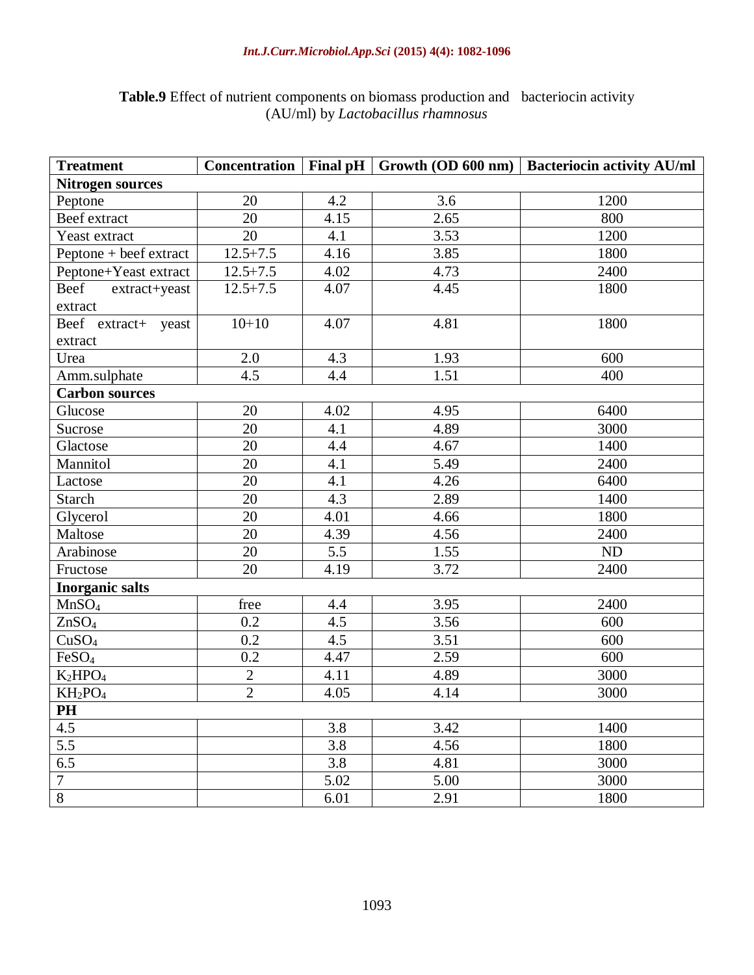| <b>Treatment</b>                | Concentration  |      |      | Final pH Growth (OD 600 nm)   Bacteriocin activity AU/ml |
|---------------------------------|----------------|------|------|----------------------------------------------------------|
| <b>Nitrogen sources</b>         |                |      |      |                                                          |
| Peptone                         | 20             | 4.2  | 3.6  | 1200                                                     |
| Beef extract                    | 20             | 4.15 | 2.65 | 800                                                      |
| Yeast extract                   | 20             | 4.1  | 3.53 | 1200                                                     |
| Peptone + beef extract          | $12.5 + 7.5$   | 4.16 | 3.85 | 1800                                                     |
| Peptone+Yeast extract           | $12.5 + 7.5$   | 4.02 | 4.73 | 2400                                                     |
| Beef<br>extract+yeast           | $12.5 + 7.5$   | 4.07 | 4.45 | 1800                                                     |
| extract                         |                |      |      |                                                          |
| Beef extract+ yeast             | $10+10$        | 4.07 | 4.81 | 1800                                                     |
| extract                         |                |      |      |                                                          |
| Urea                            | 2.0            | 4.3  | 1.93 | 600                                                      |
| Amm.sulphate                    | 4.5            | 4.4  | 1.51 | 400                                                      |
| <b>Carbon sources</b>           |                |      |      |                                                          |
| Glucose                         | 20             | 4.02 | 4.95 | 6400                                                     |
| Sucrose                         | 20             | 4.1  | 4.89 | 3000                                                     |
| Glactose                        | 20             | 4.4  | 4.67 | 1400                                                     |
| Mannitol                        | 20             | 4.1  | 5.49 | 2400                                                     |
| Lactose                         | 20             | 4.1  | 4.26 | 6400                                                     |
| Starch                          | 20             | 4.3  | 2.89 | 1400                                                     |
| Glycerol                        | 20             | 4.01 | 4.66 | 1800                                                     |
| Maltose                         | 20             | 4.39 | 4.56 | 2400                                                     |
| Arabinose                       | 20             | 5.5  | 1.55 | ND                                                       |
| Fructose                        | 20             | 4.19 | 3.72 | 2400                                                     |
| <b>Inorganic salts</b>          |                |      |      |                                                          |
| MnSO <sub>4</sub>               | free           | 4.4  | 3.95 | 2400                                                     |
| ZnSO <sub>4</sub>               | 0.2            | 4.5  | 3.56 | 600                                                      |
| CuSO <sub>4</sub>               | 0.2            | 4.5  | 3.51 | 600                                                      |
| FeSO <sub>4</sub>               | 0.2            | 4.47 | 2.59 | 600                                                      |
| K <sub>2</sub> HPO <sub>4</sub> | $\overline{c}$ | 4.11 | 4.89 | 3000                                                     |
| $KH_2PO_4$                      | $\overline{2}$ | 4.05 | 4.14 | 3000                                                     |
| PH                              |                |      |      |                                                          |
| 4.5                             |                | 3.8  | 3.42 | 1400                                                     |
| 5.5                             |                | 3.8  | 4.56 | 1800                                                     |
| 6.5                             |                | 3.8  | 4.81 | 3000                                                     |
| $\boldsymbol{7}$                |                | 5.02 | 5.00 | 3000                                                     |
| $\overline{8}$                  |                | 6.01 | 2.91 | 1800                                                     |

# **Table.9** Effect of nutrient components on biomass production and bacteriocin activity (AU/ml) by *Lactobacillus rhamnosus*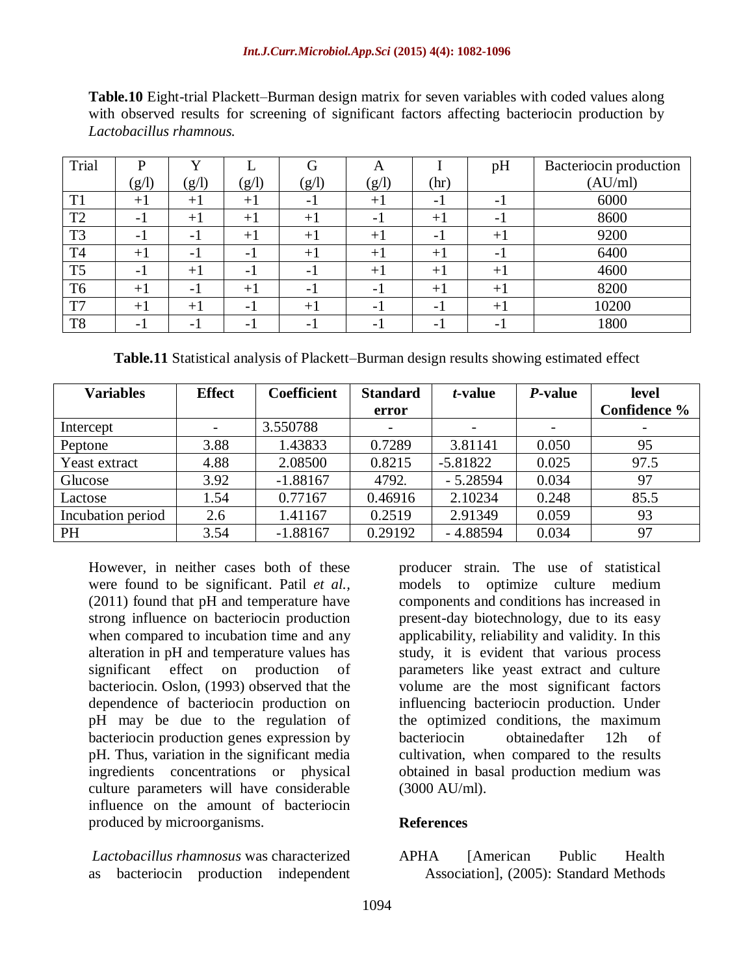| Table.10 Eight-trial Plackett-Burman design matrix for seven variables with coded values along |                         |  |  |  |  |  |  |  |                                                                                                |  |
|------------------------------------------------------------------------------------------------|-------------------------|--|--|--|--|--|--|--|------------------------------------------------------------------------------------------------|--|
|                                                                                                |                         |  |  |  |  |  |  |  | with observed results for screening of significant factors affecting bacteriocin production by |  |
|                                                                                                | Lactobacillus rhamnous. |  |  |  |  |  |  |  |                                                                                                |  |

| Trial          | D      | $\mathbf{v}$             |                          | G                        | А     |      | pH   | Bacteriocin production |
|----------------|--------|--------------------------|--------------------------|--------------------------|-------|------|------|------------------------|
|                | (g/l)  | (g/l)                    | (g/l)                    | (g/l)                    | (g/l) | (hr) |      | (AU/ml)                |
| T1             | $+1$   | $+1$                     | $+1$                     | - 1                      | $+1$  | - 1  | – I  | 6000                   |
| T <sub>2</sub> | $-1$   | $+1$                     | $+1$                     | $+1$                     | - 1   | $+1$ | - 1  | 8600                   |
| T <sub>3</sub> | - 1    | - 1                      | $+1$                     | $+1$                     | $+1$  | - 1  | $+1$ | 9200                   |
| T <sub>4</sub> | $+1$   | - 1                      | - 1                      | $+1$                     | $+1$  | $+1$ | - 1  | 6400                   |
| T <sub>5</sub> | $-1$   | $+1$                     | - 1                      | - 1                      | $+1$  | $+1$ | $+1$ | 4600                   |
| T <sub>6</sub> | $+1$   | $-1$                     | $+1$                     | $\overline{\phantom{a}}$ | - 1   | $+1$ | $+1$ | 8200                   |
| T7             | $+1$   | $+1$                     | $\overline{\phantom{0}}$ | $+1$                     | - 1   | - 1  | $+1$ | 10200                  |
| T <sub>8</sub> | $\sim$ | $\overline{\phantom{0}}$ | -                        | -                        | $-1$  | - 1  | $-1$ | 1800                   |

**Table.11** Statistical analysis of Plackett–Burman design results showing estimated effect

| <b>Variables</b>  | <b>Effect</b> | <b>Coefficient</b> | <b>Standard</b> | t-value    | <i>P</i> -value | level        |
|-------------------|---------------|--------------------|-----------------|------------|-----------------|--------------|
|                   |               |                    | error           |            |                 | Confidence % |
| Intercept         |               | 3.550788           |                 |            |                 |              |
| Peptone           | 3.88          | 1.43833            | 0.7289          | 3.81141    | 0.050           | 95           |
| Yeast extract     | 4.88          | 2.08500            | 0.8215          | $-5.81822$ | 0.025           | 97.5         |
| Glucose           | 3.92          | $-1.88167$         | 4792.           | $-5.28594$ | 0.034           | 97           |
| Lactose           | 1.54          | 0.77167            | 0.46916         | 2.10234    | 0.248           | 85.5         |
| Incubation period | 2.6           | 1.41167            | 0.2519          | 2.91349    | 0.059           | 93           |
| PH                | 3.54          | $-1.88167$         | 0.29192         | $-4.88594$ | 0.034           | 97           |

However, in neither cases both of these were found to be significant. Patil *et al.,*  (2011) found that pH and temperature have strong influence on bacteriocin production when compared to incubation time and any alteration in pH and temperature values has significant effect on production of bacteriocin. Oslon, (1993) observed that the dependence of bacteriocin production on pH may be due to the regulation of bacteriocin production genes expression by pH. Thus, variation in the significant media ingredients concentrations or physical culture parameters will have considerable influence on the amount of bacteriocin produced by microorganisms.

*Lactobacillus rhamnosus* was characterized as bacteriocin production independent

producer strain. The use of statistical models to optimize culture medium components and conditions has increased in present-day biotechnology, due to its easy applicability, reliability and validity. In this study, it is evident that various process parameters like yeast extract and culture volume are the most significant factors influencing bacteriocin production. Under the optimized conditions, the maximum bacteriocin obtainedafter 12h of cultivation, when compared to the results obtained in basal production medium was (3000 AU/ml).

## **References**

APHA [American Public Health Association], (2005): Standard Methods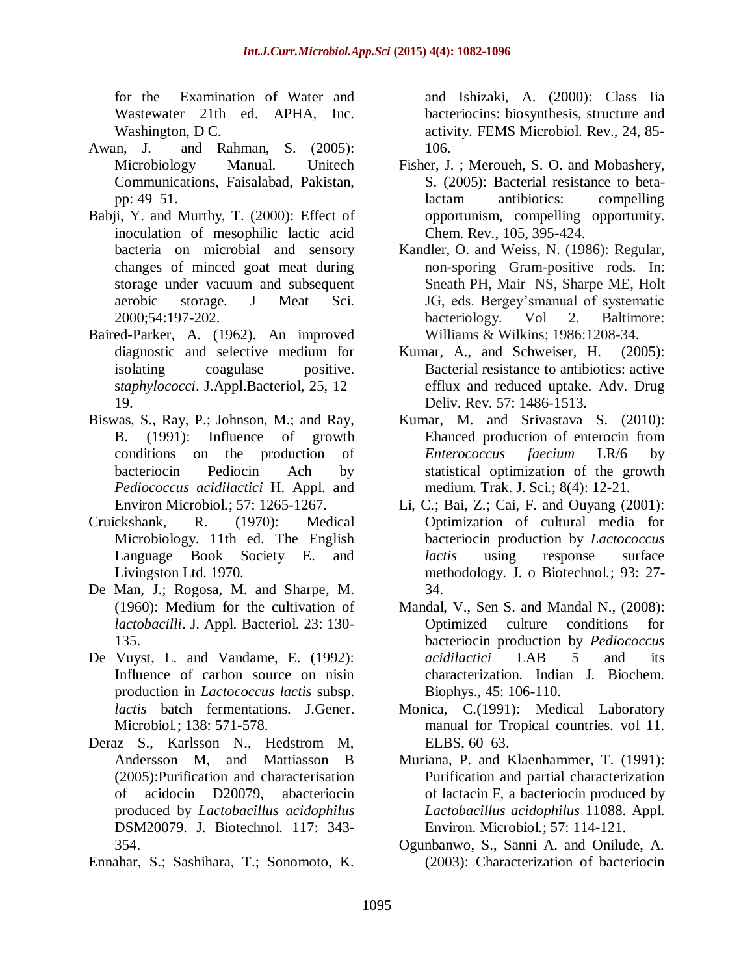for the Examination of Water and Wastewater 21th ed. APHA, Inc. Washington, D<sub>C</sub>.

- Awan, J. and Rahman, S. (2005): Microbiology Manual. Unitech Communications, Faisalabad, Pakistan, pp: 49–51.
- Babji, Y. and Murthy, T. (2000): Effect of inoculation of mesophilic lactic acid bacteria on microbial and sensory changes of minced goat meat during storage under vacuum and subsequent aerobic storage. J Meat Sci. 2000;54:197-202.
- Baired-Parker, A. (1962). An improved diagnostic and selective medium for isolating coagulase positive. s*taphylococci*. J.Appl.Bacteriol, 25, 12– 19.
- Biswas, S., Ray, P.; Johnson, M.; and Ray, B. (1991): Influence of growth conditions on the production of bacteriocin Pediocin Ach by *Pediococcus acidilactici* H. Appl. and Environ Microbiol*.*; 57: 1265-1267.
- Cruickshank, R. (1970): Medical Microbiology. 11th ed. The English Language Book Society E. and Livingston Ltd. 1970.
- De Man, J.; Rogosa, M. and Sharpe, M. (1960): Medium for the cultivation of *lactobacilli*. J. Appl. Bacteriol. 23: 130- 135.
- De Vuyst, L. and Vandame, E. (1992): Influence of carbon source on nisin production in *Lactococcus lactis* subsp. *lactis* batch fermentations. J.Gener. Microbiol*.*; 138: 571-578.
- Deraz S., Karlsson N., Hedstrom M, Andersson M, and Mattiasson B (2005):Purification and characterisation of acidocin D20079, abacteriocin produced by *Lactobacillus acidophilus*  DSM20079. J. Biotechnol. 117: 343- 354.
- Ennahar, S.; Sashihara, T.; Sonomoto, K.

and Ishizaki, A. (2000): Class Iia bacteriocins: biosynthesis, structure and activity. FEMS Microbiol. Rev., 24, 85- 106.

- Fisher, J. ; Meroueh, S. O. and Mobashery, S. (2005): Bacterial resistance to betalactam antibiotics: compelling opportunism, compelling opportunity. Chem. Rev., 105, 395-424.
- Kandler, O. and Weiss, N. (1986): Regular, non-sporing Gram-positive rods. In: Sneath PH, Mair NS, Sharpe ME, Holt JG, eds. Bergey'smanual of systematic bacteriology. Vol 2. Baltimore: Williams & Wilkins; 1986:1208-34.
- Kumar, A., and Schweiser, H. (2005): Bacterial resistance to antibiotics: active efflux and reduced uptake. Adv. Drug Deliv. Rev. 57: 1486-1513.
- Kumar, M. and Srivastava S. (2010): Ehanced production of enterocin from *Enterococcus faecium* LR/6 by statistical optimization of the growth medium. Trak. J. Sci*.*; 8(4): 12-21.
- Li, C.; Bai, Z.; Cai, F. and Ouyang (2001): Optimization of cultural media for bacteriocin production by *Lactococcus lactis* using response surface methodology. J. o Biotechnol*.*; 93: 27- 34.
- Mandal, V., Sen S. and Mandal N., (2008): Optimized culture conditions for bacteriocin production by *Pediococcus acidilactici* LAB 5 and its characterization. Indian J. Biochem. Biophys., 45: 106-110.
- Monica, C.(1991): Medical Laboratory manual for Tropical countries. vol 11. ELBS, 60–63.
- Muriana, P. and Klaenhammer, T. (1991): Purification and partial characterization of lactacin F, a bacteriocin produced by *Lactobacillus acidophilus* 11088. Appl. Environ. Microbiol*.*; 57: 114-121.
- Ogunbanwo, S., Sanni A. and Onilude, A. (2003): Characterization of bacteriocin